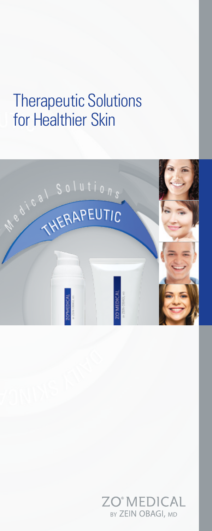# Therapeutic Solutions for Healthier Skin



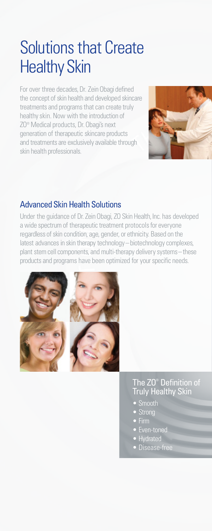# Solutions that Create Healthy Skin

For over three decades, Dr. Zein Obagi defined the concept of skin health and developed skincare treatments and programs that can create truly healthy skin. Now with the introduction of ZO® Medical products, Dr. Obagi's next generation of therapeutic skincare products and treatments are exclusively available through skin health professionals.



#### Advanced Skin Health Solutions

Under the guidance of Dr. Zein Obagi, ZO Skin Health, Inc. has developed a wide spectrum of therapeutic treatment protocols for everyone regardless of skin condition, age, gender, or ethnicity. Based on the latest advances in skin therapy technology – biotechnology complexes, plant stem cell components, and multi-therapy delivery systems – these products and programs have been optimized for your specific needs.



#### The ZO® Definition of **Truly Healthy Skin**

- Smooth
- **Strong**
- 
- Even-toned
- Hydrated
- Disease-free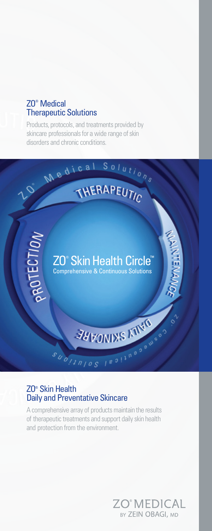#### ZO® Medical Therapeutic Solutions

Products, protocols, and treatments provided by skincare professionals for a wide range of skin disorders and chronic conditions.



#### ZO® Skin Health Daily and Preventative Skincare

A comprehensive array of products maintain the results of therapeutic treatments and support daily skin health and protection from the environment.

> **ZO®MEDICAL** BY ZEIN OBAGI, MD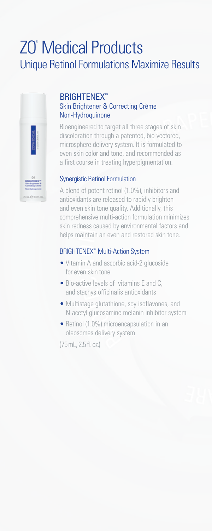## ZO® Medical Products Unique Retinol Formulations Maximize Results



### **BRIGHTENEX™**

#### Skin Brightener & Correcting Crème Non-Hydroquinone

Bioengineered to target all three stages of skin discoloration through a patented, bio-vectored, microsphere delivery system. It is formulated to even skin color and tone, and recommended as a first course in treating hyperpigmentation.

#### Synergistic Retinol Formulation

A blend of potent retinol (1.0%), inhibitors and antioxidants are released to rapidly brighten and even skin tone quality. Additionally, this comprehensive multi-action formulation minimizes skin redness caused by environmental factors and helps maintain an even and restored skin tone.

#### **BRIGHTENEX<sup>™</sup> Multi-Action System**

- Vitamin A and ascorbic acid-2 glucoside for even skin tone
- Bio-active levels of vitamins E and C, and stachys officinalis antioxidants
- Multistage glutathione, soy isoflavones, and N-acetyl glucosamine melanin inhibitor system
- Retinol (1.0%) microencapsulation in an oleosomes delivery system

(75mL, 2.5 fl.oz.)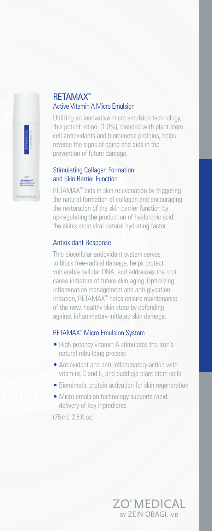

#### RETAMAX™ Active Vitamin AMicro Emulsion

Utilizing an innovative micro emulsion technology, this potent retinol (1.0%), blended with plant stem cell antioxidants and biomimetic proteins, helps reverse the signs of aging and aids in the prevention of future damage.

#### Stimulating Collagen Formation and Skin Barrier Function

RETAMAX™ aids in skin rejuvenation by triggering the natural formation of collagen and encouraging the restoration of the skin barrier function by up-regulating the production of hyaluronic acid, the skin's most vital natural hydrating factor.

#### Antioxidant Response

This biocellular antioxidant system serves to block free-radical damage, helps protect vulnerable cellular DNA, and addresses the root cause initiators of future skin aging. Optimizing inflammation management and anti-glycation irritation, RETAMAX™ helps ensure maintenance of the new, healthy skin state by defending against inflammatory-initiated skin damage.

#### RETAMAX™ Micro Emulsion System

- High-potency vitamin A stimulates the skin's natural rebuilding process
- Antioxidant and anti-inflammatory action with vitamins C and E, and buddleja plant stem cells
- Biomimetic protein activation for skin regeneration

**ZO°MEDICAL** BY ZEIN OBAGI, MD

• Micro emulsion technology supports rapid delivery of key ingredients

(75mL, 2.5 fl.oz.)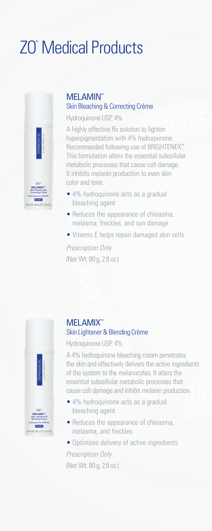# ZO® Medical Products



#### MELAMIN™ Skin Bleaching& Correcting Crème

Hydroquinone USP, 4%

A highly effective Rx solution to lighten hyperpigmentation with 4% hydroquinone. Recommended following use of BRIGHTENEX™ . This formulation alters the essential subcellular metabolic processes that cause cell damage. It inhibits melanin production to even skin color and tone.

- 4% hydroquinone acts as a gradual bleaching agent
- Reduces the appearance of chloasma, melasma, freckles, and sun damage
- Vitamin E helps repair damaged skin cells

*Prescription Only* (Net Wt. 80 g, 2.8 oz.)



#### MELAMIX™ Skin Lightener& Blending Crème

Hydroquinone USP, 4%

A 4% hydroquinone bleaching cream penetrates the skin and effectively delivers the active ingredients of the system to the melanocytes. It alters the essential subcellular metabolic processes that cause cell damage and inhibit melanin production.

- 4% hydroquinone acts as a gradual bleaching agent
- Reduces the appearance of chloasma, melasma, and freckles
- Optimizes delivery of active ingredients

*Prescription Only* (Net Wt. 80 g, 2.8 oz.)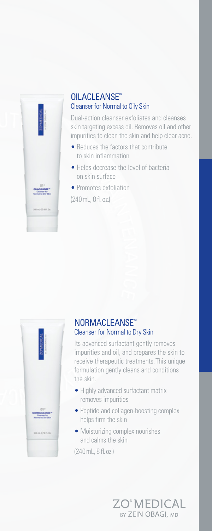

#### OILACLEANSE™ Cleanser for Normal to Oily Skin

Dual-action cleanser exfoliates and cleanses skin targeting excess oil. Removes oil and other impurities to clean the skin and help clear acne.

- Reduces the factors that contribute to skin inflammation
- Helps decrease the level of bacteria on skin surface
- Promotes exfoliation

(240mL, 8 fl.oz.)



#### NORMACLEANSE™ Cleanser for Normal to Dry Skin

Its advanced surfactant gently removes impurities and oil, and prepares the skin to receive therapeutic treatments.This unique formulation gently cleans and conditions the skin.

- Highly advanced surfactant matrix removes impurities
- Peptide and collagen-boosting complex helps firm the skin
- Moisturizing complex nourishes and calms the skin

(240mL, 8 fl.oz.)

**ZO°MEDICAL** BY ZEIN OBAGI, MD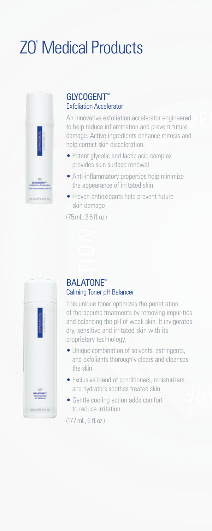# ZO® Medical Products



#### GLYCOGENT™ Exfoliation Accelerator

An innovative exfoliation accelerator engineered to help reduce inflammation and prevent future damage. Active ingredients enhance mitosis and help correct skin discoloration.

- Potent glycolic and lactic acid complex provides skin surface renewal
- Anti-inflammatory properties help minimize the appearance of irritated skin
- Proven antioxidants help prevent future skin damage

(75mL, 2.5 fl.oz.)



#### BALATONE™ Calming Toner pH Balancer

This unique toner optimizes the penetration of therapeutic treatments by removing impurities and balancing the pH of weak skin. It invigorates dry, sensitive and irritated skin with its proprietary technology.

- Unique combination of solvents, astringents, and exfoliants thoroughly clears and cleanses the skin
- Exclusive blend of conditioners, moisturizers, and hydrators soothes treated skin
- Gentle cooling action adds comfort to reduce irritation

(177mL, 6 fl.oz.)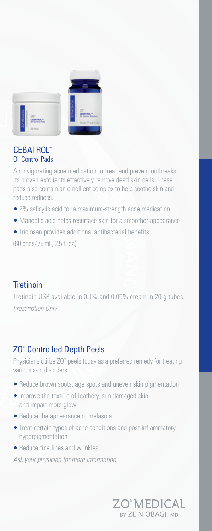

#### CEBATROL™ Oil Control Pads

An invigorating acne medication to treat and prevent outbreaks. Its proven exfoliants effectively remove dead skin cells. These pads also contain an emollient complex to help soothe skin and reduce redness.

- 2% salicylic acid for a maximum-strength acne medication
- Mandelic acid helps resurface skin for a smoother appearance
- Triclosan provides additional antibacterial benefits

(60 pads/75mL, 2.5 fl.oz.)

#### **Tretinoin**

Tretinoin USP available in 0.1% and 0.05% cream in 20 g tubes. *Prescription Only*

#### ZO® Controlled Depth Peels

Physicians utilize ZO<sup>®</sup> peels today as a preferred remedy for treating various skin disorders.

- Reduce brown spots, age spots and uneven skin pigmentation
- Improve the texture of leathery, sun damaged skin and impart more glow
- Reduce the appearance of melasma
- Treat certain types of acne conditions and post-inflammatory hyperpigmentation
- Reduce fine lines and wrinkles

*Ask your physician for more information.*

ZO®MEDICAL BY ZEIN OBAGI, MD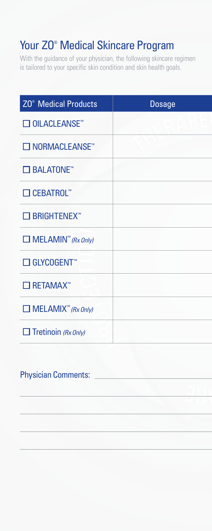## Your ZO<sup>®</sup> Medical Skincare Program

With the guidance of your physician, the following skincare regimen is tailored to your specific skin condition and skin health goals.

| <b>ZO<sup>®</sup></b> Medical Products         | <b>Dosage</b> |
|------------------------------------------------|---------------|
| $\Box$ OILACLEANSE <sup>**</sup>               |               |
| □ NORMACLEANSE <sup>™</sup>                    |               |
| $\square$ BALATONE $^{\mathsf{m}}$             |               |
| $\square$ CEBATROL <sup>**</sup>               |               |
| $\square$ BRIGHTENEX <sup>**</sup>             |               |
| $\Box$ MELAMIN <sup>"</sup> ( <i>Rx Only</i> ) |               |
| $\Box$ GLYCOGENT <sup>®</sup>                  |               |
| $\Box$ RETAMAX <sup>**</sup>                   |               |
| $\Box$ MELAMIX <sup>"</sup> (Rx Only)          |               |
| $\Box$ Tretinoin (Rx Only)                     |               |

\_\_\_\_\_\_\_\_\_\_\_\_\_\_\_\_\_\_\_\_\_\_\_\_\_\_\_\_\_\_\_\_\_\_\_\_\_\_\_\_\_\_\_\_\_\_\_\_\_\_\_\_\_\_\_\_\_\_\_\_\_\_\_\_\_\_\_\_\_\_\_\_\_\_\_\_\_\_\_\_\_\_\_\_\_

\_\_\_\_\_\_\_\_\_\_\_\_\_\_\_\_\_\_\_\_\_\_\_\_\_\_\_\_\_\_\_\_\_\_\_\_\_\_\_\_\_\_\_\_\_\_\_\_\_\_\_\_\_\_\_\_\_\_\_\_\_\_\_\_\_\_\_\_\_\_\_\_\_\_\_\_\_\_\_\_\_\_\_\_\_

\_\_\_\_\_\_\_\_\_\_\_\_\_\_\_\_\_\_\_\_\_\_\_\_\_\_\_\_\_\_\_\_\_\_\_\_\_\_\_\_\_\_\_\_\_\_\_\_\_\_\_\_\_\_\_\_\_\_\_\_\_\_\_\_\_\_\_\_\_\_\_\_\_\_\_\_\_\_\_\_\_\_\_\_\_

 $\Box$ 

### Physician Comments: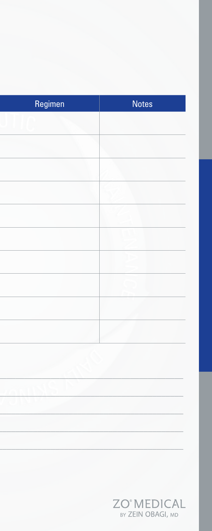| Regimen | <b>Notes</b>                           |
|---------|----------------------------------------|
|         |                                        |
|         |                                        |
|         |                                        |
|         |                                        |
|         |                                        |
|         |                                        |
|         |                                        |
|         |                                        |
|         |                                        |
|         |                                        |
|         |                                        |
|         |                                        |
|         |                                        |
|         |                                        |
|         |                                        |
|         |                                        |
|         |                                        |
|         | <b>ZO®MEDICAL</b><br>BY ZEIN OBAGI, MD |